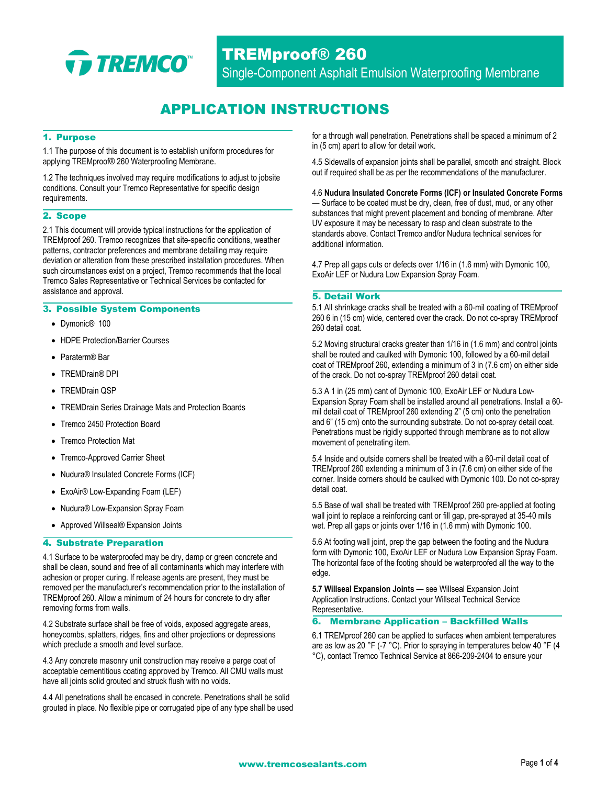

TREMproof® 260 Single-Component Asphalt Emulsion Waterproofing Membrane

# APPLICATION INSTRUCTIONS

## 1. Purpose

1.1 The purpose of this document is to establish uniform procedures for applying TREMproof® 260 Waterproofing Membrane.

1.2 The techniques involved may require modifications to adjust to jobsite conditions. Consult your Tremco Representative for specific design requirements.

### 2. Scope

2.1 This document will provide typical instructions for the application of TREMproof 260. Tremco recognizes that site-specific conditions, weather patterns, contractor preferences and membrane detailing may require deviation or alteration from these prescribed installation procedures. When such circumstances exist on a project, Tremco recommends that the local Tremco Sales Representative or Technical Services be contacted for assistance and approval.

### 3. Possible System Components

- Dymonic® 100
- HDPE Protection/Barrier Courses
- Paraterm® Bar
- TREMDrain® DPI
- TREMDrain QSP
- TREMDrain Series Drainage Mats and Protection Boards
- Tremco 2450 Protection Board
- Tremco Protection Mat
- Tremco-Approved Carrier Sheet
- Nudura® Insulated Concrete Forms (ICF)
- ExoAir® Low-Expanding Foam (LEF)
- Nudura® Low-Expansion Spray Foam
- Approved Willseal® Expansion Joints

#### 4. Substrate Preparation

4.1 Surface to be waterproofed may be dry, damp or green concrete and shall be clean, sound and free of all contaminants which may interfere with adhesion or proper curing. If release agents are present, they must be removed per the manufacturer's recommendation prior to the installation of TREMproof 260. Allow a minimum of 24 hours for concrete to dry after removing forms from walls.

4.2 Substrate surface shall be free of voids, exposed aggregate areas, honeycombs, splatters, ridges, fins and other projections or depressions which preclude a smooth and level surface.

4.3 Any concrete masonry unit construction may receive a parge coat of acceptable cementitious coating approved by Tremco. All CMU walls must have all joints solid grouted and struck flush with no voids.

4.4 All penetrations shall be encased in concrete. Penetrations shall be solid grouted in place. No flexible pipe or corrugated pipe of any type shall be used for a through wall penetration. Penetrations shall be spaced a minimum of 2 in (5 cm) apart to allow for detail work.

4.5 Sidewalls of expansion joints shall be parallel, smooth and straight. Block out if required shall be as per the recommendations of the manufacturer.

#### 4.6 **Nudura Insulated Concrete Forms (ICF) or Insulated Concrete Forms**

— Surface to be coated must be dry, clean, free of dust, mud, or any other substances that might prevent placement and bonding of membrane. After UV exposure it may be necessary to rasp and clean substrate to the standards above. Contact Tremco and/or Nudura technical services for additional information.

4.7 Prep all gaps cuts or defects over 1/16 in (1.6 mm) with Dymonic 100, ExoAir LEF or Nudura Low Expansion Spray Foam.

#### 5. Detail Work

5.1 All shrinkage cracks shall be treated with a 60-mil coating of TREMproof 260 6 in (15 cm) wide, centered over the crack. Do not co-spray TREMproof 260 detail coat.

5.2 Moving structural cracks greater than 1/16 in (1.6 mm) and control joints shall be routed and caulked with Dymonic 100, followed by a 60-mil detail coat of TREMproof 260, extending a minimum of 3 in (7.6 cm) on either side of the crack. Do not co-spray TREMproof 260 detail coat.

5.3 A 1 in (25 mm) cant of Dymonic 100, ExoAir LEF or Nudura Low-Expansion Spray Foam shall be installed around all penetrations. Install a 60 mil detail coat of TREMproof 260 extending 2" (5 cm) onto the penetration and 6" (15 cm) onto the surrounding substrate. Do not co-spray detail coat. Penetrations must be rigidly supported through membrane as to not allow movement of penetrating item.

5.4 Inside and outside corners shall be treated with a 60-mil detail coat of TREMproof 260 extending a minimum of 3 in (7.6 cm) on either side of the corner. Inside corners should be caulked with Dymonic 100. Do not co-spray detail coat.

5.5 Base of wall shall be treated with TREMproof 260 pre-applied at footing wall joint to replace a reinforcing cant or fill gap, pre-sprayed at 35-40 mils wet. Prep all gaps or joints over 1/16 in (1.6 mm) with Dymonic 100.

5.6 At footing wall joint, prep the gap between the footing and the Nudura form with Dymonic 100, ExoAir LEF or Nudura Low Expansion Spray Foam. The horizontal face of the footing should be waterproofed all the way to the edge.

**5.7 Willseal Expansion Joints** — see Willseal Expansion Joint Application Instructions. Contact your Willseal Technical Service Representative.

## 6. Membrane Application – Backfilled Walls

6.1 TREMproof 260 can be applied to surfaces when ambient temperatures are as low as 20 °F (-7 °C). Prior to spraying in temperatures below 40 °F (4 °C), contact Tremco Technical Service at 866-209-2404 to ensure your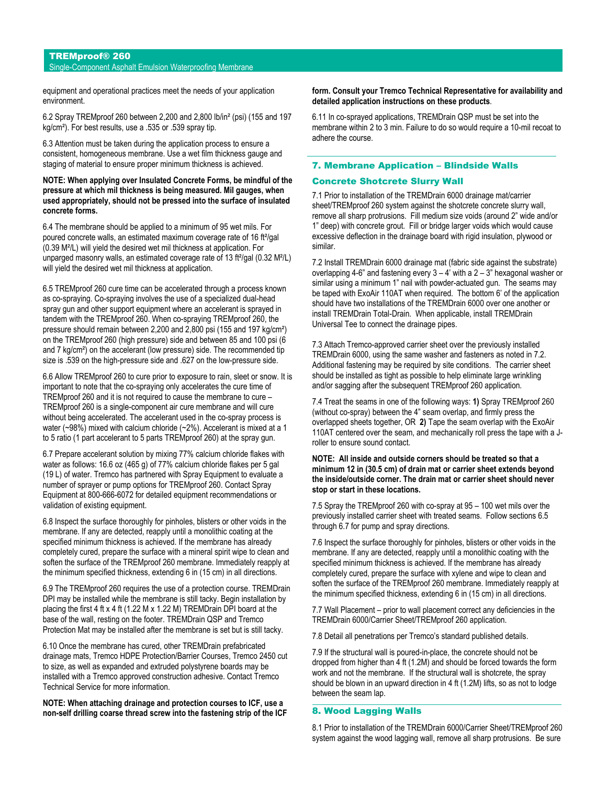# TREMproof® 260

# Single-Component Asphalt Emulsion Waterproofing Membrane

equipment and operational practices meet the needs of your application environment.

6.2 Spray TREMproof 260 between 2,200 and 2,800 lb/in² (psi) (155 and 197 kg/cm²). For best results, use a .535 or .539 spray tip.

6.3 Attention must be taken during the application process to ensure a consistent, homogeneous membrane. Use a wet film thickness gauge and staging of material to ensure proper minimum thickness is achieved.

#### **NOTE: When applying over Insulated Concrete Forms, be mindful of the pressure at which mil thickness is being measured. Mil gauges, when used appropriately, should not be pressed into the surface of insulated concrete forms.**

6.4 The membrane should be applied to a minimum of 95 wet mils. For poured concrete walls, an estimated maximum coverage rate of 16 ft<sup>2</sup>/gal (0.39 M²/L) will yield the desired wet mil thickness at application. For unparged masonry walls, an estimated coverage rate of 13 ft<sup>2</sup>/gal (0.32 M<sup>2</sup>/L) will yield the desired wet mil thickness at application.

6.5 TREMproof 260 cure time can be accelerated through a process known as co-spraying. Co-spraying involves the use of a specialized dual-head spray gun and other support equipment where an accelerant is sprayed in tandem with the TREMproof 260. When co-spraying TREMproof 260, the pressure should remain between 2,200 and 2,800 psi (155 and 197 kg/cm²) on the TREMproof 260 (high pressure) side and between 85 and 100 psi (6 and 7 kg/cm²) on the accelerant (low pressure) side. The recommended tip size is .539 on the high-pressure side and .627 on the low-pressure side.

6.6 Allow TREMproof 260 to cure prior to exposure to rain, sleet or snow. It is important to note that the co-spraying only accelerates the cure time of TREMproof 260 and it is not required to cause the membrane to cure – TREMproof 260 is a single-component air cure membrane and will cure without being accelerated. The accelerant used in the co-spray process is water (~98%) mixed with calcium chloride (~2%). Accelerant is mixed at a 1 to 5 ratio (1 part accelerant to 5 parts TREMproof 260) at the spray gun.

6.7 Prepare accelerant solution by mixing 77% calcium chloride flakes with water as follows: 16.6 oz (465 g) of 77% calcium chloride flakes per 5 gal (19 L) of water. Tremco has partnered with Spray Equipment to evaluate a number of sprayer or pump options for TREMproof 260. Contact Spray Equipment at 800-666-6072 for detailed equipment recommendations or validation of existing equipment.

6.8 Inspect the surface thoroughly for pinholes, blisters or other voids in the membrane. If any are detected, reapply until a monolithic coating at the specified minimum thickness is achieved. If the membrane has already completely cured, prepare the surface with a mineral spirit wipe to clean and soften the surface of the TREMproof 260 membrane. Immediately reapply at the minimum specified thickness, extending 6 in (15 cm) in all directions.

6.9 The TREMproof 260 requires the use of a protection course. TREMDrain DPI may be installed while the membrane is still tacky. Begin installation by placing the first 4 ft x 4 ft (1.22 M x 1.22 M) TREMDrain DPI board at the base of the wall, resting on the footer. TREMDrain QSP and Tremco Protection Mat may be installed after the membrane is set but is still tacky.

6.10 Once the membrane has cured, other TREMDrain prefabricated drainage mats, Tremco HDPE Protection/Barrier Courses, Tremco 2450 cut to size, as well as expanded and extruded polystyrene boards may be installed with a Tremco approved construction adhesive. Contact Tremco Technical Service for more information.

**NOTE: When attaching drainage and protection courses to ICF, use a non-self drilling coarse thread screw into the fastening strip of the ICF** 

#### **form. Consult your Tremco Technical Representative for availability and detailed application instructions on these products**.

6.11 In co-sprayed applications, TREMDrain QSP must be set into the membrane within 2 to 3 min. Failure to do so would require a 10-mil recoat to adhere the course.

#### 7. Membrane Application – Blindside Walls

## Concrete Shotcrete Slurry Wall

7.1 Prior to installation of the TREMDrain 6000 drainage mat/carrier sheet/TREMproof 260 system against the shotcrete concrete slurry wall, remove all sharp protrusions. Fill medium size voids (around 2" wide and/or 1" deep) with concrete grout. Fill or bridge larger voids which would cause excessive deflection in the drainage board with rigid insulation, plywood or similar.

7.2 Install TREMDrain 6000 drainage mat (fabric side against the substrate) overlapping 4-6" and fastening every  $3 - 4$ ' with a  $2 - 3$ " hexagonal washer or similar using a minimum 1" nail with powder-actuated gun. The seams may be taped with ExoAir 110AT when required. The bottom 6' of the application should have two installations of the TREMDrain 6000 over one another or install TREMDrain Total-Drain. When applicable, install TREMDrain Universal Tee to connect the drainage pipes.

7.3 Attach Tremco-approved carrier sheet over the previously installed TREMDrain 6000, using the same washer and fasteners as noted in 7.2. Additional fastening may be required by site conditions. The carrier sheet should be installed as tight as possible to help eliminate large wrinkling and/or sagging after the subsequent TREMproof 260 application.

7.4 Treat the seams in one of the following ways: **1)** Spray TREMproof 260 (without co-spray) between the 4" seam overlap, and firmly press the overlapped sheets together, OR **2)** Tape the seam overlap with the ExoAir 110AT centered over the seam, and mechanically roll press the tape with a Jroller to ensure sound contact.

## **NOTE: All inside and outside corners should be treated so that a minimum 12 in (30.5 cm) of drain mat or carrier sheet extends beyond the inside/outside corner. The drain mat or carrier sheet should never stop or start in these locations.**

7.5 Spray the TREMproof 260 with co-spray at 95 – 100 wet mils over the previously installed carrier sheet with treated seams. Follow sections 6.5 through 6.7 for pump and spray directions.

7.6 Inspect the surface thoroughly for pinholes, blisters or other voids in the membrane. If any are detected, reapply until a monolithic coating with the specified minimum thickness is achieved. If the membrane has already completely cured, prepare the surface with xylene and wipe to clean and soften the surface of the TREMproof 260 membrane. Immediately reapply at the minimum specified thickness, extending 6 in (15 cm) in all directions.

7.7 Wall Placement – prior to wall placement correct any deficiencies in the TREMDrain 6000/Carrier Sheet/TREMproof 260 application.

7.8 Detail all penetrations per Tremco's standard published details.

7.9 If the structural wall is poured-in-place, the concrete should not be dropped from higher than 4 ft (1.2M) and should be forced towards the form work and not the membrane. If the structural wall is shotcrete, the spray should be blown in an upward direction in 4 ft (1.2M) lifts, so as not to lodge between the seam lap.

#### 8. Wood Lagging Walls

8.1 Prior to installation of the TREMDrain 6000/Carrier Sheet/TREMproof 260 system against the wood lagging wall, remove all sharp protrusions. Be sure